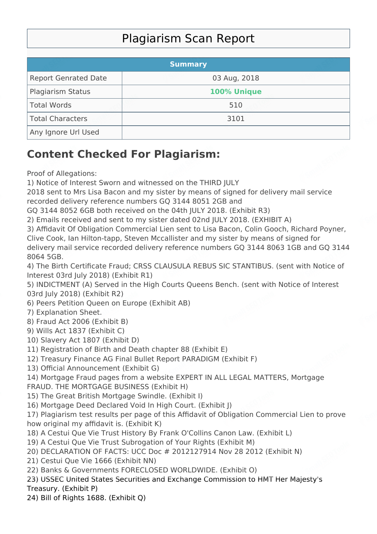## Plagiarism Scan Report

|                             | <b>Summary</b> |  |
|-----------------------------|----------------|--|
| <b>Report Genrated Date</b> | 03 Aug, 2018   |  |
| Plagiarism Status           | 100% Unique    |  |
| Total Words                 | 510            |  |
| Total Characters            | 3101           |  |
| Any Ignore Url Used         |                |  |

## **Content Checked For Plagiarism:**

Proof of Allegations:

1) Notice of Interest Sworn and witnessed on the THIRD JULY

2018 sent to Mrs Lisa Bacon and my sister by means of signed for delivery mail service recorded delivery reference numbers GQ 3144 8051 2GB and

GQ 3144 8052 6GB both received on the 04th JULY 2018. (Exhibit R3)

2) Emails received and sent to my sister dated 02nd JULY 2018. (EXHIBIT A)

3) Affidavit Of Obligation Commercial Lien sent to Lisa Bacon, Colin Gooch, Richard Poyner, Clive Cook, Ian Hilton-tapp, Steven Mccallister and my sister by means of signed for delivery mail service recorded delivery reference numbers GQ 3144 8063 1GB and GQ 3144 8064 5GB.

4) The Birth Certificate Fraud; CRSS CLAUSULA REBUS SIC STANTIBUS. (sent with Notice of Interest 03rd July 2018) (Exhibit R1)

5) INDICTMENT (A) Served in the High Courts Queens Bench. (sent with Notice of Interest 03rd July 2018) (Exhibit R2)

6) Peers Petition Queen on Europe (Exhibit AB)

7) Explanation Sheet.

8) Fraud Act 2006 (Exhibit B)

9) Wills Act 1837 (Exhibit C)

10) Slavery Act 1807 (Exhibit D)

11) Registration of Birth and Death chapter 88 (Exhibit E)

12) Treasury Finance AG Final Bullet Report PARADIGM (Exhibit F)

13) Official Announcement (Exhibit G)

14) Mortgage Fraud pages from a website EXPERT IN ALL LEGAL MATTERS, Mortgage FRAUD. THE MORTGAGE BUSINESS (Exhibit H)

15) The Great British Mortgage Swindle. (Exhibit I)

16) Mortgage Deed Declared Void In High Court. (Exhibit J)

17) Plagiarism test results per page of this Affidavit of Obligation Commercial Lien to prove how original my affidavit is. (Exhibit K)

18) A Cestui Que Vie Trust History By Frank O'Collins Canon Law. (Exhibit L)

19) A Cestui Que Vie Trust Subrogation of Your Rights (Exhibit M)

20) DECLARATION OF FACTS: UCC Doc # 2012127914 Nov 28 2012 (Exhibit N)

21) Cestui Que Vie 1666 (Exhibit NN)

22) Banks & Governments FORECLOSED WORLDWIDE. (Exhibit O)

23) USSEC United States Securities and Exchange Commission to HMT Her Majesty's Treasury. (Exhibit P)

24) Bill of Rights 1688. (Exhibit Q)